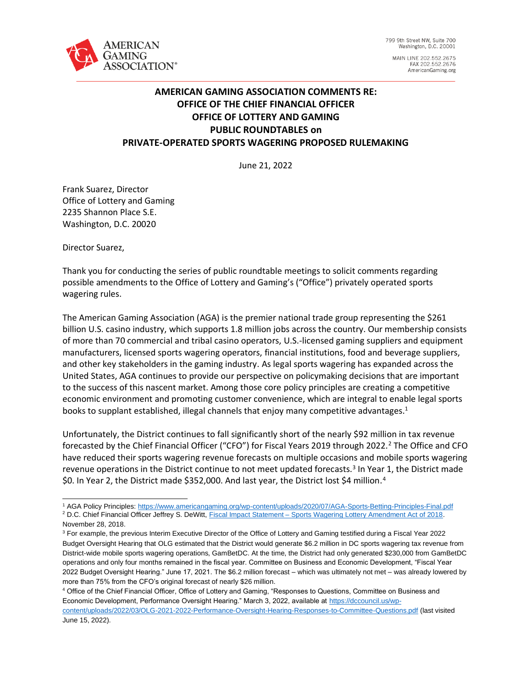

799 9th Street NW, Suite 700 Washington, D.C. 20001

MAIN LINE 202.552.2675 FAX 202.552.2676 AmericanGaming.org

# **AMERICAN GAMING ASSOCIATION COMMENTS RE: OFFICE OF THE CHIEF FINANCIAL OFFICER OFFICE OF LOTTERY AND GAMING PUBLIC ROUNDTABLES on PRIVATE-OPERATED SPORTS WAGERING PROPOSED RULEMAKING**

June 21, 2022

Frank Suarez, Director Office of Lottery and Gaming 2235 Shannon Place S.E. Washington, D.C. 20020

Director Suarez,

Thank you for conducting the series of public roundtable meetings to solicit comments regarding possible amendments to the Office of Lottery and Gaming's ("Office") privately operated sports wagering rules.

The American Gaming Association (AGA) is the premier national trade group representing the \$261 billion U.S. casino industry, which supports 1.8 million jobs across the country. Our membership consists of more than 70 commercial and tribal casino operators, U.S.-licensed gaming suppliers and equipment manufacturers, licensed sports wagering operators, financial institutions, food and beverage suppliers, and other key stakeholders in the gaming industry. As legal sports wagering has expanded across the United States, AGA continues to provide our perspective on policymaking decisions that are important to the success of this nascent market. Among those core policy principles are creating a competitive economic environment and promoting customer convenience, which are integral to enable legal sports books to supplant established, illegal channels that enjoy many competitive advantages.<sup>1</sup>

Unfortunately, the District continues to fall significantly short of the nearly \$92 million in tax revenue forecasted by the Chief Financial Officer ("CFO") for Fiscal Years 2019 through 2022.<sup>2</sup> The Office and CFO have reduced their sports wagering revenue forecasts on multiple occasions and mobile sports wagering revenue operations in the District continue to not meet updated forecasts.<sup>3</sup> In Year 1, the District made \$0. In Year 2, the District made \$352,000. And last year, the District lost \$4 million.<sup>4</sup>

<sup>1</sup> AGA Policy Principles:<https://www.americangaming.org/wp-content/uploads/2020/07/AGA-Sports-Betting-Principles-Final.pdf> <sup>2</sup> D.C. Chief Financial Officer Jeffrey S. DeWitt, Fiscal Impact Statement – [Sports Wagering Lottery Amendment Act of 2018.](https://lims.dccouncil.us/downloads/LIMS/40922/Other/B22-0944-Fiscal-Impact-Statement1.pdf)

November 28, 2018. <sup>3</sup> For example, the previous Interim Executive Director of the Office of Lottery and Gaming testified during a Fiscal Year 2022

Budget Oversight Hearing that OLG estimated that the District would generate \$6.2 million in DC sports wagering tax revenue from District-wide mobile sports wagering operations, GamBetDC. At the time, the District had only generated \$230,000 from GamBetDC operations and only four months remained in the fiscal year. Committee on Business and Economic Development, "Fiscal Year 2022 Budget Oversight Hearing." June 17, 2021. The \$6.2 million forecast – which was ultimately not met – was already lowered by more than 75% from the CFO's original forecast of nearly \$26 million.

<sup>4</sup> Office of the Chief Financial Officer, Office of Lottery and Gaming, "Responses to Questions, Committee on Business and Economic Development, Performance Oversight Hearing." March 3, 2022, available at [https://dccouncil.us/wp](https://dccouncil.us/wp-content/uploads/2022/03/OLG-2021-2022-Performance-Oversight-Hearing-Responses-to-Committee-Questions.pdf)[content/uploads/2022/03/OLG-2021-2022-Performance-Oversight-Hearing-Responses-to-Committee-Questions.pdf](https://dccouncil.us/wp-content/uploads/2022/03/OLG-2021-2022-Performance-Oversight-Hearing-Responses-to-Committee-Questions.pdf) (last visited June 15, 2022).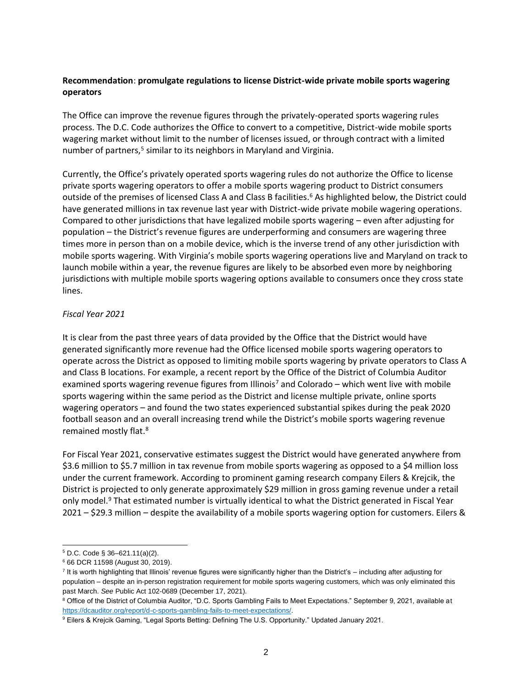## **Recommendation**: **promulgate regulations to license District-wide private mobile sports wagering operators**

The Office can improve the revenue figures through the privately-operated sports wagering rules process. The D.C. Code authorizes the Office to convert to a competitive, District-wide mobile sports wagering market without limit to the number of licenses issued, or through contract with a limited number of partners,<sup>5</sup> similar to its neighbors in Maryland and Virginia.

Currently, the Office's privately operated sports wagering rules do not authorize the Office to license private sports wagering operators to offer a mobile sports wagering product to District consumers outside of the premises of licensed Class A and Class B facilities.<sup>6</sup> As highlighted below, the District could have generated millions in tax revenue last year with District-wide private mobile wagering operations. Compared to other jurisdictions that have legalized mobile sports wagering – even after adjusting for population – the District's revenue figures are underperforming and consumers are wagering three times more in person than on a mobile device, which is the inverse trend of any other jurisdiction with mobile sports wagering. With Virginia's mobile sports wagering operations live and Maryland on track to launch mobile within a year, the revenue figures are likely to be absorbed even more by neighboring jurisdictions with multiple mobile sports wagering options available to consumers once they cross state lines.

### *Fiscal Year 2021*

It is clear from the past three years of data provided by the Office that the District would have generated significantly more revenue had the Office licensed mobile sports wagering operators to operate across the District as opposed to limiting mobile sports wagering by private operators to Class A and Class B locations. For example, a recent report by the Office of the District of Columbia Auditor examined sports wagering revenue figures from Illinois<sup>7</sup> and Colorado – which went live with mobile sports wagering within the same period as the District and license multiple private, online sports wagering operators – and found the two states experienced substantial spikes during the peak 2020 football season and an overall increasing trend while the District's mobile sports wagering revenue remained mostly flat.<sup>8</sup>

For Fiscal Year 2021, conservative estimates suggest the District would have generated anywhere from \$3.6 million to \$5.7 million in tax revenue from mobile sports wagering as opposed to a \$4 million loss under the current framework. According to prominent gaming research company Eilers & Krejcik, the District is projected to only generate approximately \$29 million in gross gaming revenue under a retail only model.<sup>9</sup> That estimated number is virtually identical to what the District generated in Fiscal Year 2021 – \$29.3 million – despite the availability of a mobile sports wagering option for customers. Eilers &

<sup>5</sup> D.C. Code § 36–621.11(a)(2).

<sup>6</sup> 66 DCR 11598 (August 30, 2019).

<sup>&</sup>lt;sup>7</sup> It is worth highlighting that Illinois' revenue figures were significantly higher than the District's – including after adjusting for population – despite an in-person registration requirement for mobile sports wagering customers, which was only eliminated this past March. *See* Public Act 102-0689 (December 17, 2021).

<sup>8</sup> Office of the District of Columbia Auditor, "D.C. Sports Gambling Fails to Meet Expectations." September 9, 2021, available at [https://dcauditor.org/report/d-c-sports-gambling-fails-to-meet-expectations/.](https://dcauditor.org/report/d-c-sports-gambling-fails-to-meet-expectations/)

<sup>9</sup> Eilers & Krejcik Gaming, "Legal Sports Betting: Defining The U.S. Opportunity." Updated January 2021.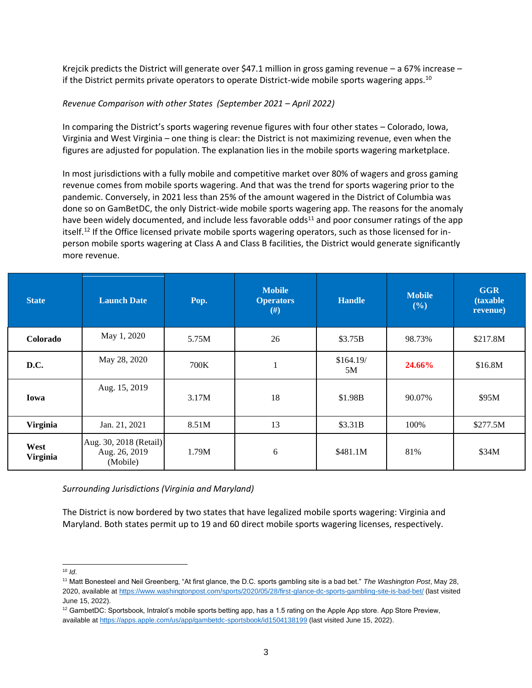Krejcik predicts the District will generate over \$47.1 million in gross gaming revenue – a 67% increase – if the District permits private operators to operate District-wide mobile sports wagering apps.<sup>10</sup>

#### *Revenue Comparison with other States (September 2021 – April 2022)*

In comparing the District's sports wagering revenue figures with four other states – Colorado, Iowa, Virginia and West Virginia – one thing is clear: the District is not maximizing revenue, even when the figures are adjusted for population. The explanation lies in the mobile sports wagering marketplace.

In most jurisdictions with a fully mobile and competitive market over 80% of wagers and gross gaming revenue comes from mobile sports wagering. And that was the trend for sports wagering prior to the pandemic. Conversely, in 2021 less than 25% of the amount wagered in the District of Columbia was done so on GamBetDC, the only District-wide mobile sports wagering app. The reasons for the anomaly have been widely documented, and include less favorable odds $^{11}$  and poor consumer ratings of the app itself.<sup>12</sup> If the Office licensed private mobile sports wagering operators, such as those licensed for inperson mobile sports wagering at Class A and Class B facilities, the District would generate significantly more revenue.

| <b>State</b>            | <b>Launch Date</b>                                  | Pop.  | <b>Mobile</b><br><b>Operators</b><br>#) | <b>Handle</b>   | <b>Mobile</b><br>(%) | <b>GGR</b><br><b>(taxable)</b><br>revenue) |
|-------------------------|-----------------------------------------------------|-------|-----------------------------------------|-----------------|----------------------|--------------------------------------------|
| Colorado                | May 1, 2020                                         | 5.75M | 26                                      | \$3.75B         | 98.73%               | \$217.8M                                   |
| D.C.                    | May 28, 2020                                        | 700K  |                                         | \$164.19/<br>5M | <b>24.66%</b>        | \$16.8M                                    |
| Iowa                    | Aug. 15, 2019                                       | 3.17M | 18                                      | \$1.98B         | 90.07%               | \$95M                                      |
| <b>Virginia</b>         | Jan. 21, 2021                                       | 8.51M | 13                                      | \$3.31B         | 100%                 | \$277.5M                                   |
| West<br><b>Virginia</b> | Aug. 30, 2018 (Retail)<br>Aug. 26, 2019<br>(Mobile) | 1.79M | 6                                       | \$481.1M        | 81%                  | \$34M                                      |

*Surrounding Jurisdictions (Virginia and Maryland)*

The District is now bordered by two states that have legalized mobile sports wagering: Virginia and Maryland. Both states permit up to 19 and 60 direct mobile sports wagering licenses, respectively.

<sup>10</sup> *Id*.

<sup>11</sup> Matt Bonesteel and Neil Greenberg, "At first glance, the D.C. sports gambling site is a bad bet." *The Washington Post*, May 28, 2020, available at<https://www.washingtonpost.com/sports/2020/05/28/first-glance-dc-sports-gambling-site-is-bad-bet/> (last visited June 15, 2022).

<sup>&</sup>lt;sup>12</sup> GambetDC: Sportsbook, Intralot's mobile sports betting app, has a 1.5 rating on the Apple App store. App Store Preview, available a[t https://apps.apple.com/us/app/gambetdc-sportsbook/id1504138199](https://apps.apple.com/us/app/gambetdc-sportsbook/id1504138199) (last visited June 15, 2022).